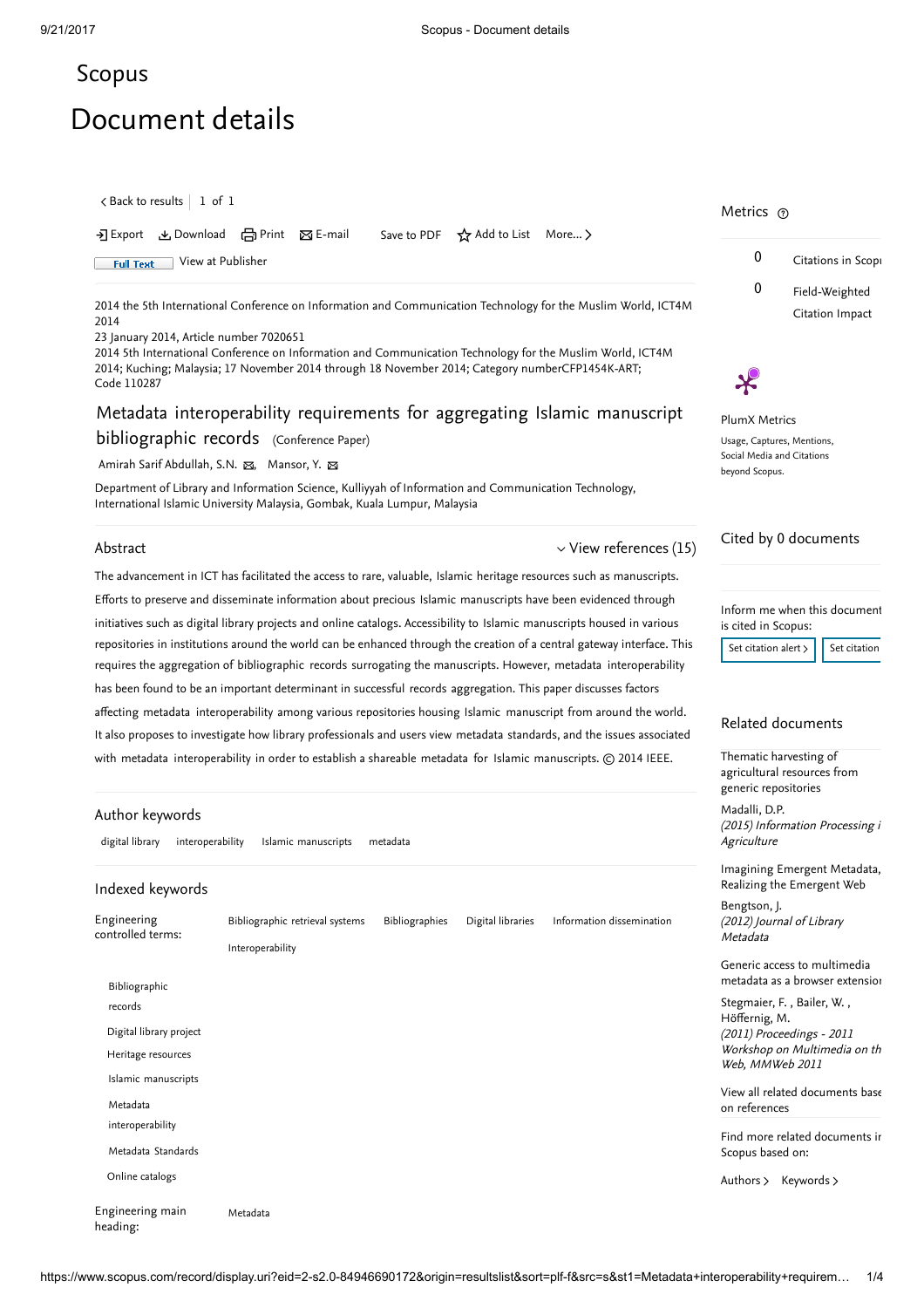# <span id="page-0-0"></span>[Scopus](https://www.scopus.com/home.uri?zone=header&origin=searchbasic)

# Document details

 $\zeta$  [Back to results](https://www.scopus.com/results/results.uri?sort=plf-f&src=s&st1=Metadata+interoperability+requirements+for+aggregating+Islamic+manuscript+bibliographic+records&st2=&sid=3ff5c08a5b1ecfde3913537b98bda695&sot=b&sdt=b&sl=110&s=TITLE-ABS-KEY%28Metadata+interoperability+requirements+for+aggregating+Islamic+manuscript+bibliographic+records%29&offset=1&origin=recordpage)  $\vert$   $\;$  1 of  $\;$  1  $\;$ 

→ Export → Download (국 Print ⊠ E-mail Save to PDF ☆ Add to List More... >

Full Text [View at Publisher](https://www.scopus.com/redirect/linking.uri?targetURL=https%3a%2f%2fdoi.org%2f10.1109%2fICT4M.2014.7020651&locationID=1&categoryID=4&eid=2-s2.0-84946690172&issn=&linkType=ViewAtPublisher&year=2014&origin=recordpage&dig=d285166760d91d36a17ab48593b74303&recordRank=)

2014 the 5th International Conference on Information and Communication Technology for the Muslim World, ICT4M 2014

23 January 2014, Article number 7020651

2014 5th International Conference on Information and Communication Technology for the Muslim World, ICT4M 2014; Kuching; Malaysia; 17 November 2014 through 18 November 2014; Category numberCFP1454K-ART; Code 110287

# Metadata interoperability requirements for aggregating Islamic manuscript bibliographic records (Conference Paper)

[Amirah Sarif Abdullah, S.N.](https://www.scopus.com/authid/detail.uri?authorId=56565590100&eid=2-s2.0-84946690172) ⊠, [Mansor, Y.](https://www.scopus.com/authid/detail.uri?authorId=6507791560&eid=2-s2.0-84946690172) ⊠

Department of Library and Information Science, Kulliyyah of Information and Communication Technology, International Islamic University Malaysia, Gombak, Kuala Lumpur, Malaysia

#### Abstract

#### $\vee$  [View references \(15\)](#page-1-0)

The advancement in ICT has facilitated the access to rare, valuable, Islamic heritage resources such as manuscripts. Efforts to preserve and disseminate information about precious Islamic manuscripts have been evidenced through initiatives such as digital library projects and online catalogs. Accessibility to Islamic manuscripts housed in various repositories in institutions around the world can be enhanced through the creation of a central gateway interface. This requires the aggregation of bibliographic records surrogating the manuscripts. However, metadata interoperability has been found to be an important determinant in successful records aggregation. This paper discusses factors affecting metadata interoperability among various repositories housing Islamic manuscript from around the world. It also proposes to investigate how library professionals and users view metadata standards, and the issues associated with metadata interoperability in order to establish a shareable metadata for Islamic manuscripts. © 2014 IEEE.

#### Author keywords

digital library interoperability Islamic manuscripts metadata

#### Indexed keywords

| Engineering<br>controlled terms: | Bibliographic retrieval systems<br>Interoperability | Bibliographies | Digital libraries | Information dissemination |
|----------------------------------|-----------------------------------------------------|----------------|-------------------|---------------------------|
| Bibliographic<br>records         |                                                     |                |                   |                           |
| Digital library project          |                                                     |                |                   |                           |
| Heritage resources               |                                                     |                |                   |                           |
| Islamic manuscripts              |                                                     |                |                   |                           |
| Metadata<br>interoperability     |                                                     |                |                   |                           |
| Metadata Standards               |                                                     |                |                   |                           |
| Online catalogs                  |                                                     |                |                   |                           |
| Engineering main<br>heading:     | Metadata                                            |                |                   |                           |

### Metrics ල





#### PlumX Metrics Usage, Captures, Mentions, Social Media and Citations beyond Scopus.

## Cited by 0 documents

Inform me when this document is cited in Scopus:

[Set citation alert](https://www.scopus.com/alert/form/document.uri?eid=2-s2.0-84946690172&ATP=document&discoveryEngineID=scopusdoccite&discoveryEventID=NEW&mode=C&AID=NEW&origin=recordpage&view=extended)  $\frac{1}{2}$  [Set citation](https://www.scopus.com/results/rss/handler.uri?citeEid=2-s2.0-84946690172)

## Related documents

Thematic harvesting of [agricultural resources from](https://www.scopus.com/record/display.uri?origin=recordpage&zone=relatedDocuments&eid=2-s2.0-85016960144&citeCnt=0&noHighlight=false&sort=plf-f&src=s&st1=Metadata+interoperability+requirements+for+aggregating+Islamic+manuscript+bibliographic+records&st2=&sid=3ff5c08a5b1ecfde3913537b98bda695&sot=b&sdt=b&sl=110&s=TITLE-ABS-KEY%28Metadata+interoperability+requirements+for+aggregating+Islamic+manuscript+bibliographic+records%29&relpos=0) generic repositories

(2015) Information Processing i **Agriculture** [Madalli, D.P.](https://www.scopus.com/authid/detail.uri?origin=recordpage&authorId=6507016815&zone=relatedDocuments)

[Imagining Emergent Metadata,](https://www.scopus.com/record/display.uri?origin=recordpage&zone=relatedDocuments&eid=2-s2.0-84870022746&citeCnt=0&noHighlight=false&sort=plf-f&src=s&st1=Metadata+interoperability+requirements+for+aggregating+Islamic+manuscript+bibliographic+records&st2=&sid=3ff5c08a5b1ecfde3913537b98bda695&sot=b&sdt=b&sl=110&s=TITLE-ABS-KEY%28Metadata+interoperability+requirements+for+aggregating+Islamic+manuscript+bibliographic+records%29&relpos=1) Realizing the Emergent Web

(2012) Journal of Library Metadata [Bengtson, J.](https://www.scopus.com/authid/detail.uri?origin=recordpage&authorId=36863205900&zone=relatedDocuments)

Generic access to multimedia [metadata as a browser extension](https://www.scopus.com/record/display.uri?origin=recordpage&zone=relatedDocuments&eid=2-s2.0-84859907087&citeCnt=0&noHighlight=false&sort=plf-f&src=s&st1=Metadata+interoperability+requirements+for+aggregating+Islamic+manuscript+bibliographic+records&st2=&sid=3ff5c08a5b1ecfde3913537b98bda695&sot=b&sdt=b&sl=110&s=TITLE-ABS-KEY%28Metadata+interoperability+requirements+for+aggregating+Islamic+manuscript+bibliographic+records%29&relpos=2)

, , [Stegmaier, F.](https://www.scopus.com/authid/detail.uri?origin=recordpage&authorId=36176545500&zone=relatedDocuments) Bailer, W. (2011) Proceedings - 2011 Workshop on Multimedia on th Web, MMWeb 2011 [Höffernig, M.](https://www.scopus.com/authid/detail.uri?origin=recordpage&authorId=35092669400&zone=relatedDocuments)

[View all related documents base](https://www.scopus.com/search/submit/mlt.uri?eid=2-s2.0-84946690172&src=s&all=true&origin=recordpage&method=ref&zone=relatedDocuments) on references

Find more related documents in Scopus based on:

[Authors](https://www.scopus.com/search/submit/mlt.uri?eid=2-s2.0-84946690172&src=s&all=true&origin=recordpage&method=aut&zone=relatedDocuments) > [Keywords](https://www.scopus.com/search/submit/mlt.uri?eid=2-s2.0-84946690172&src=s&all=true&origin=recordpage&method=key&zone=relatedDocuments) >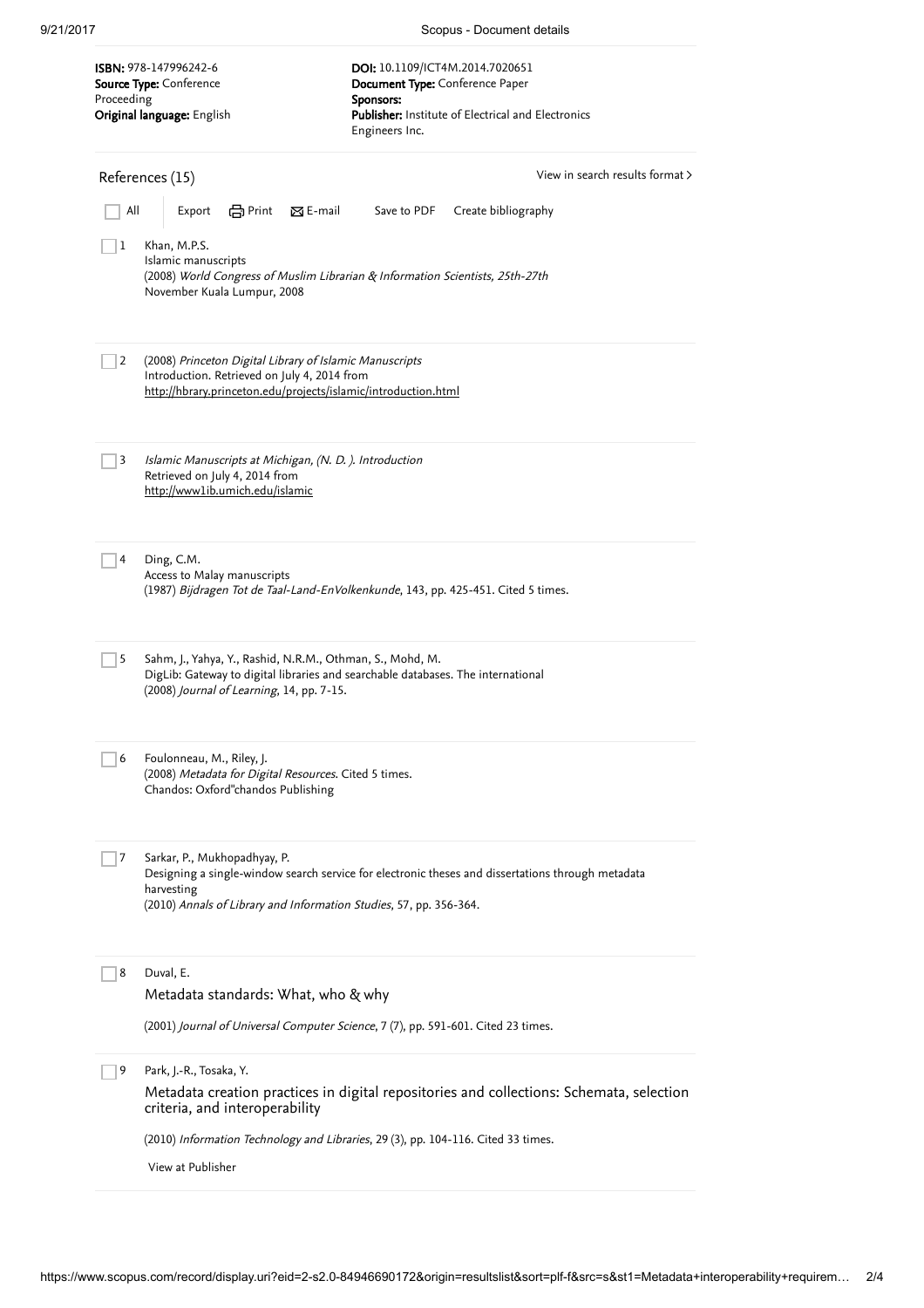9/21/2017 Scopus - Document details

<span id="page-1-0"></span>

| Proceeding                                         | ISBN: 978-147996242-6<br>Source Type: Conference<br>Original language: English                                                                                                                                        | DOI: 10.1109/ICT4M.2014.7020651<br>Document Type: Conference Paper<br>Sponsors:<br>Publisher: Institute of Electrical and Electronics<br>Engineers Inc. |                     |  |  |
|----------------------------------------------------|-----------------------------------------------------------------------------------------------------------------------------------------------------------------------------------------------------------------------|---------------------------------------------------------------------------------------------------------------------------------------------------------|---------------------|--|--|
| View in search results format ><br>References (15) |                                                                                                                                                                                                                       |                                                                                                                                                         |                     |  |  |
| All                                                | Print 図 E-mail<br>Export                                                                                                                                                                                              | Save to PDF                                                                                                                                             | Create bibliography |  |  |
| 1                                                  | Khan, M.P.S.<br>Islamic manuscripts<br>(2008) World Congress of Muslim Librarian & Information Scientists, 25th-27th<br>November Kuala Lumpur, 2008                                                                   |                                                                                                                                                         |                     |  |  |
| 2                                                  | (2008) Princeton Digital Library of Islamic Manuscripts<br>Introduction. Retrieved on July 4, 2014 from<br>http://hbrary.princeton.edu/projects/islamic/introduction.html                                             |                                                                                                                                                         |                     |  |  |
| 3                                                  | Islamic Manuscripts at Michigan, (N. D.). Introduction<br>Retrieved on July 4, 2014 from<br>http://www1ib.umich.edu/islamic                                                                                           |                                                                                                                                                         |                     |  |  |
| 4                                                  | Ding, C.M.<br>Access to Malay manuscripts<br>(1987) Bijdragen Tot de Taal-Land-EnVolkenkunde, 143, pp. 425-451. Cited 5 times.                                                                                        |                                                                                                                                                         |                     |  |  |
| 5                                                  | Sahm, J., Yahya, Y., Rashid, N.R.M., Othman, S., Mohd, M.<br>DigLib: Gateway to digital libraries and searchable databases. The international<br>(2008) Journal of Learning, 14, pp. 7-15.                            |                                                                                                                                                         |                     |  |  |
| 6                                                  | Foulonneau, M., Riley, J.<br>(2008) Metadata for Digital Resources. Cited 5 times.<br>Chandos: Oxford"chandos Publishing                                                                                              |                                                                                                                                                         |                     |  |  |
| 7                                                  | Sarkar, P., Mukhopadhyay, P.<br>Designing a single-window search service for electronic theses and dissertations through metadata<br>harvesting<br>(2010) Annals of Library and Information Studies, 57, pp. 356-364. |                                                                                                                                                         |                     |  |  |
| 8                                                  | Duval, E.<br>Metadata standards: What, who & why                                                                                                                                                                      |                                                                                                                                                         |                     |  |  |
|                                                    | (2001) Journal of Universal Computer Science, 7 (7), pp. 591-601. Cited 23 times.                                                                                                                                     |                                                                                                                                                         |                     |  |  |
| 9                                                  | Park, J.-R., Tosaka, Y.<br>Metadata creation practices in digital repositories and collections: Schemata, selection<br>criteria, and interoperability                                                                 |                                                                                                                                                         |                     |  |  |
|                                                    | (2010) Information Technology and Libraries, 29 (3), pp. 104-116. Cited 33 times.<br>View at Publisher                                                                                                                |                                                                                                                                                         |                     |  |  |
|                                                    |                                                                                                                                                                                                                       |                                                                                                                                                         |                     |  |  |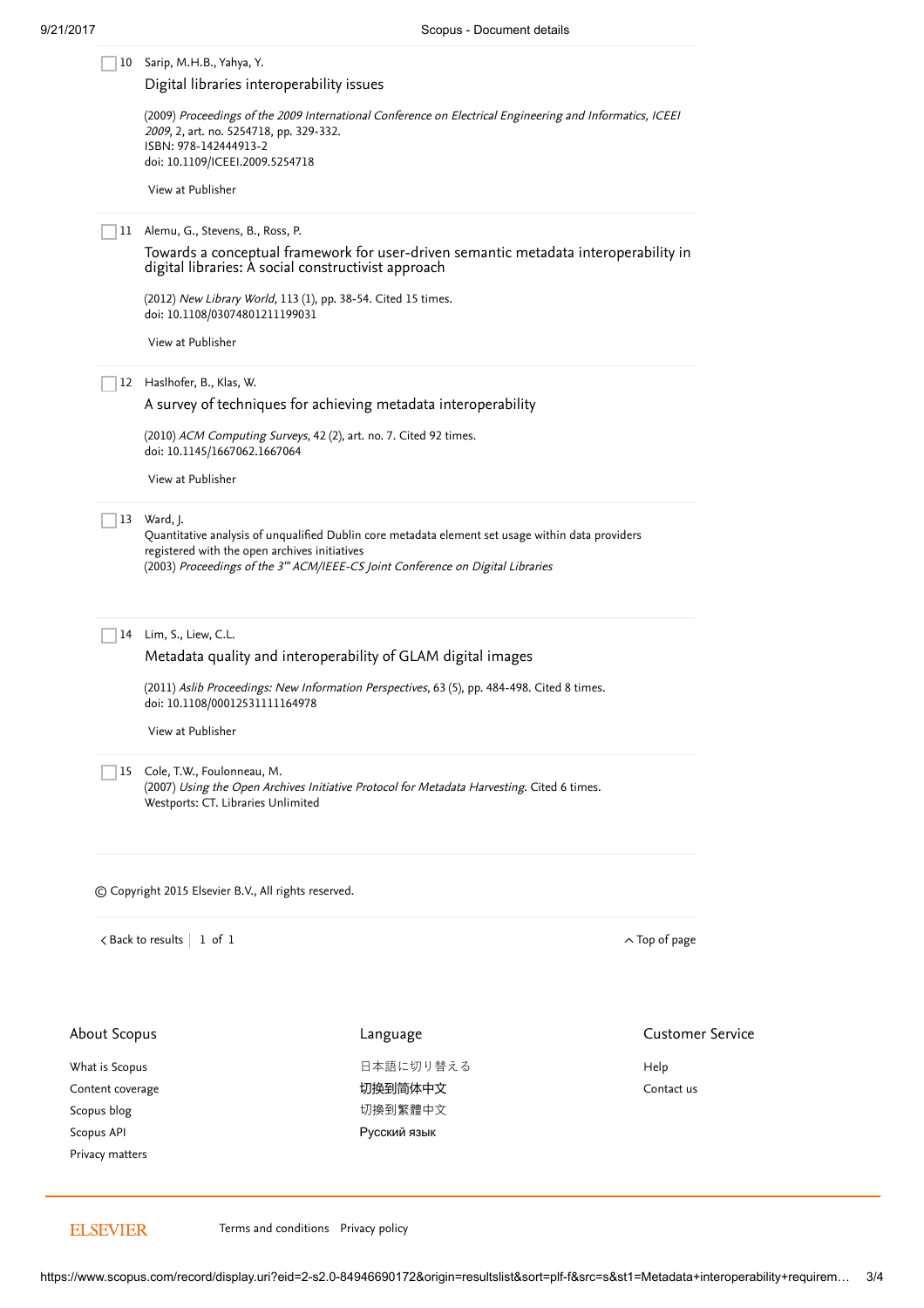|                                                                                    | 10 Sarip, M.H.B., Yahya, Y.<br>Digital libraries interoperability issues<br>2009, 2, art. no. 5254718, pp. 329-332.<br>ISBN: 978-142444913-2<br>doi: 10.1109/ICEEI.2009.5254718<br>View at Publisher                                                                                                    | (2009) Proceedings of the 2009 International Conference on Electrical Engineering and Informatics, ICEEI |                         |  |  |  |  |  |
|------------------------------------------------------------------------------------|---------------------------------------------------------------------------------------------------------------------------------------------------------------------------------------------------------------------------------------------------------------------------------------------------------|----------------------------------------------------------------------------------------------------------|-------------------------|--|--|--|--|--|
| 11                                                                                 | Alemu, G., Stevens, B., Ross, P.<br>Towards a conceptual framework for user-driven semantic metadata interoperability in<br>digital libraries: A social constructivist approach<br>(2012) New Library World, 113 (1), pp. 38-54. Cited 15 times.<br>doi: 10.1108/03074801211199031<br>View at Publisher |                                                                                                          |                         |  |  |  |  |  |
|                                                                                    | 12 Haslhofer, B., Klas, W.<br>A survey of techniques for achieving metadata interoperability<br>(2010) ACM Computing Surveys, 42 (2), art. no. 7. Cited 92 times.<br>doi: 10.1145/1667062.1667064<br>View at Publisher                                                                                  |                                                                                                          |                         |  |  |  |  |  |
|                                                                                    | 13 Ward, J.<br>Quantitative analysis of unqualified Dublin core metadata element set usage within data providers<br>registered with the open archives initiatives<br>(2003) Proceedings of the 3" ACM/IEEE-CS Joint Conference on Digital Libraries                                                     |                                                                                                          |                         |  |  |  |  |  |
| 14                                                                                 | Lim, S., Liew, C.L.<br>Metadata quality and interoperability of GLAM digital images<br>(2011) Aslib Proceedings: New Information Perspectives, 63 (5), pp. 484-498. Cited 8 times.<br>doi: 10.1108/00012531111164978<br>View at Publisher                                                               |                                                                                                          |                         |  |  |  |  |  |
| 15                                                                                 | Cole, T.W., Foulonneau, M.<br>Westports: CT. Libraries Unlimited                                                                                                                                                                                                                                        | (2007) Using the Open Archives Initiative Protocol for Metadata Harvesting. Cited 6 times.               |                         |  |  |  |  |  |
|                                                                                    | © Copyright 2015 Elsevier B.V., All rights reserved.                                                                                                                                                                                                                                                    |                                                                                                          |                         |  |  |  |  |  |
|                                                                                    | $\langle$ Back to results   1 of 1                                                                                                                                                                                                                                                                      |                                                                                                          | $\wedge$ Top of page    |  |  |  |  |  |
| About Scopus                                                                       |                                                                                                                                                                                                                                                                                                         | Language                                                                                                 | <b>Customer Service</b> |  |  |  |  |  |
| What is Scopus<br>Content coverage<br>Scopus blog<br>Scopus API<br>Privacy matters |                                                                                                                                                                                                                                                                                                         | 日本語に切り替える<br>切换到简体中文<br>切換到繁體中文<br>Русский язык                                                          | Help<br>Contact us      |  |  |  |  |  |

**ELSEVIER** 

[Terms and conditions](https://www.elsevier.com/locate/termsandconditions) [Privacy policy](https://www.elsevier.com/locate/privacypolicy)